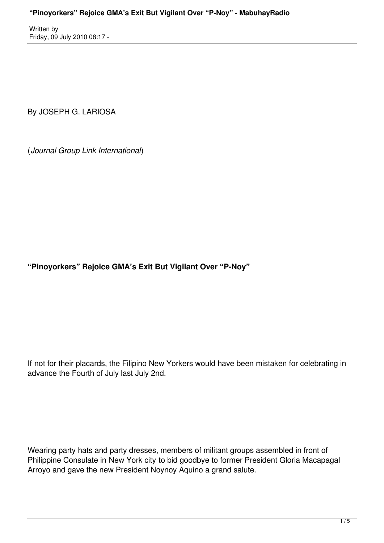By JOSEPH G. LARIOSA

(*Journal Group Link International*)

**"Pinoyorkers" Rejoice GMA's Exit But Vigilant Over "P-Noy"**

If not for their placards, the Filipino New Yorkers would have been mistaken for celebrating in advance the Fourth of July last July 2nd.

Wearing party hats and party dresses, members of militant groups assembled in front of Philippine Consulate in New York city to bid goodbye to former President Gloria Macapagal Arroyo and gave the new President Noynoy Aquino a grand salute.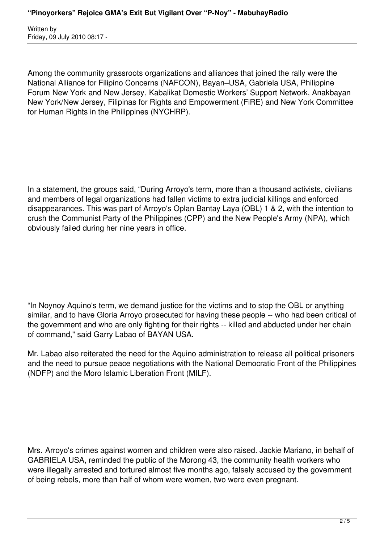Among the community grassroots organizations and alliances that joined the rally were the National Alliance for Filipino Concerns (NAFCON), Bayan–USA, Gabriela USA, Philippine Forum New York and New Jersey, Kabalikat Domestic Workers' Support Network, Anakbayan New York/New Jersey, Filipinas for Rights and Empowerment (FiRE) and New York Committee for Human Rights in the Philippines (NYCHRP).

In a statement, the groups said, "During Arroyo's term, more than a thousand activists, civilians and members of legal organizations had fallen victims to extra judicial killings and enforced disappearances. This was part of Arroyo's Oplan Bantay Laya (OBL) 1 & 2, with the intention to crush the Communist Party of the Philippines (CPP) and the New People's Army (NPA), which obviously failed during her nine years in office.

"In Noynoy Aquino's term, we demand justice for the victims and to stop the OBL or anything similar, and to have Gloria Arroyo prosecuted for having these people -- who had been critical of the government and who are only fighting for their rights -- killed and abducted under her chain of command," said Garry Labao of BAYAN USA.

Mr. Labao also reiterated the need for the Aquino administration to release all political prisoners and the need to pursue peace negotiations with the National Democratic Front of the Philippines (NDFP) and the Moro Islamic Liberation Front (MILF).

Mrs. Arroyo's crimes against women and children were also raised. Jackie Mariano, in behalf of GABRIELA USA, reminded the public of the Morong 43, the community health workers who were illegally arrested and tortured almost five months ago, falsely accused by the government of being rebels, more than half of whom were women, two were even pregnant.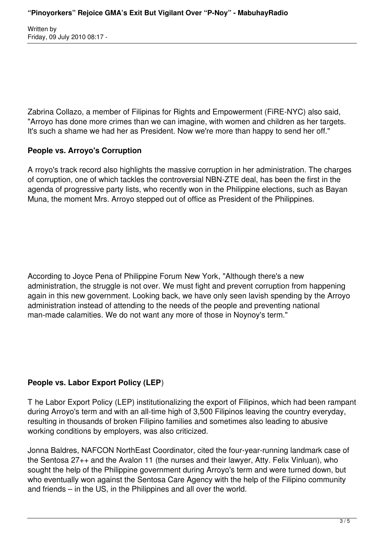Zabrina Collazo, a member of Filipinas for Rights and Empowerment (FiRE-NYC) also said, "Arroyo has done more crimes than we can imagine, with women and children as her targets. It's such a shame we had her as President. Now we're more than happy to send her off."

## **People vs. Arroyo's Corruption**

A rroyo's track record also highlights the massive corruption in her administration. The charges of corruption, one of which tackles the controversial NBN-ZTE deal, has been the first in the agenda of progressive party lists, who recently won in the Philippine elections, such as Bayan Muna, the moment Mrs. Arroyo stepped out of office as President of the Philippines.

According to Joyce Pena of Philippine Forum New York, "Although there's a new administration, the struggle is not over. We must fight and prevent corruption from happening again in this new government. Looking back, we have only seen lavish spending by the Arroyo administration instead of attending to the needs of the people and preventing national man-made calamities. We do not want any more of those in Noynoy's term."

## **People vs. Labor Export Policy (LEP**)

T he Labor Export Policy (LEP) institutionalizing the export of Filipinos, which had been rampant during Arroyo's term and with an all-time high of 3,500 Filipinos leaving the country everyday, resulting in thousands of broken Filipino families and sometimes also leading to abusive working conditions by employers, was also criticized.

Jonna Baldres, NAFCON NorthEast Coordinator, cited the four-year-running landmark case of the Sentosa 27++ and the Avalon 11 (the nurses and their lawyer, Atty. Felix Vinluan), who sought the help of the Philippine government during Arroyo's term and were turned down, but who eventually won against the Sentosa Care Agency with the help of the Filipino community and friends – in the US, in the Philippines and all over the world.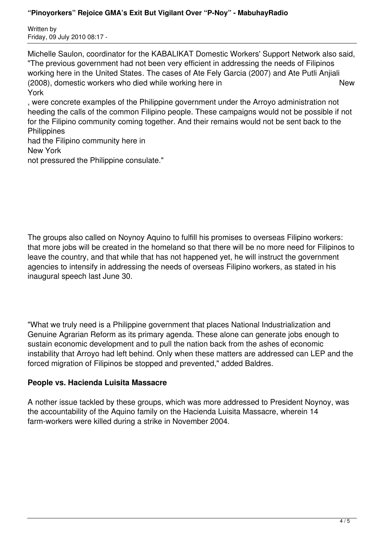Michelle Saulon, coordinator for the KABALIKAT Domestic Workers' Support Network also said, "The previous government had not been very efficient in addressing the needs of Filipinos working here in the United States. The cases of Ate Fely Garcia (2007) and Ate Putli Anjiali (2008), domestic workers who died while working here in New York

, were concrete examples of the Philippine government under the Arroyo administration not heeding the calls of the common Filipino people. These campaigns would not be possible if not for the Filipino community coming together. And their remains would not be sent back to the **Philippines** 

had the Filipino community here in New York

not pressured the Philippine consulate."

The groups also called on Noynoy Aquino to fulfill his promises to overseas Filipino workers: that more jobs will be created in the homeland so that there will be no more need for Filipinos to leave the country, and that while that has not happened yet, he will instruct the government agencies to intensify in addressing the needs of overseas Filipino workers, as stated in his inaugural speech last June 30.

"What we truly need is a Philippine government that places National Industrialization and Genuine Agrarian Reform as its primary agenda. These alone can generate jobs enough to sustain economic development and to pull the nation back from the ashes of economic instability that Arroyo had left behind. Only when these matters are addressed can LEP and the forced migration of Filipinos be stopped and prevented," added Baldres.

## **People vs. Hacienda Luisita Massacre**

A nother issue tackled by these groups, which was more addressed to President Noynoy, was the accountability of the Aquino family on the Hacienda Luisita Massacre, wherein 14 farm-workers were killed during a strike in November 2004.